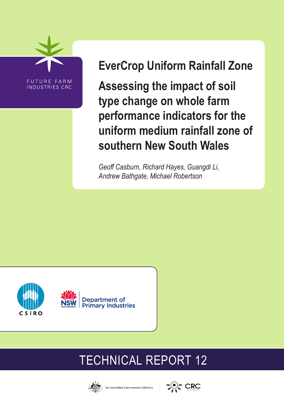

# **EverCrop Uniform Rainfall Zone**

**Assessing the impact of soil type change on whole farm performance indicators for the uniform medium rainfall zone of southern New South Wales**

*Geoff Casburn, Richard Hayes, Guangdi Li, Andrew Bathgate, Michael Robertson* 



# TECHNICAL REPORT 12





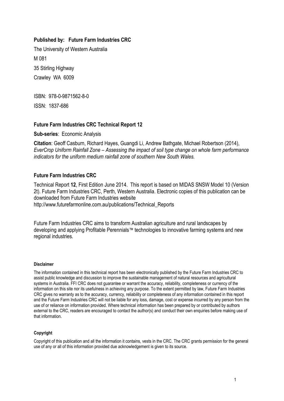#### **Published by: Future Farm Industries CRC**

The University of Western Australia M 081 35 Stirling Highway Crawley WA 6009

ISBN: 978-0-9871562-8-0

ISSN: 1837-686

#### **Future Farm Industries CRC Technical Report 12**

**Sub-series**: Economic Analysis

**Citation**: Geoff Casburn, Richard Hayes, Guangdi Li, Andrew Bathgate, Michael Robertson (2014), *EverCrop Uniform Rainfall Zone – Assessing the impact of soil type change on whole farm performance indicators for the uniform medium rainfall zone of southern New South Wales.*

#### **Future Farm Industries CRC**

Technical Report **12**, First Edition June 2014. This report is based on MIDAS SNSW Model 10 (Version 2t). Future Farm Industries CRC, Perth, Western Australia. Electronic copies of this publication can be downloaded from Future Farm Industries website http://www.futurefarmonline.com.au/publications/Technical\_Reports

Future Farm Industries CRC aims to transform Australian agriculture and rural landscapes by developing and applying Profitable Perennials™ technologies to innovative farming systems and new regional industries.

#### **Disclaimer**

The information contained in this technical report has been electronically published by the Future Farm Industries CRC to assist public knowledge and discussion to improve the sustainable management of natural resources and agricultural systems in Australia. FFI CRC does not guarantee or warrant the accuracy, reliability, completeness or currency of the information on this site nor its usefulness in achieving any purpose. To the extent permitted by law, Future Farm Industries CRC gives no warranty as to the accuracy, currency, reliability or completeness of any information contained in this report and the Future Farm Industries CRC will not be liable for any loss, damage, cost or expense incurred by any person from the use of or reliance on information provided. Where technical information has been prepared by or contributed by authors external to the CRC, readers are encouraged to contact the author(s) and conduct their own enquiries before making use of that information.

#### **Copyright**

Copyright of this publication and all the information it contains, vests in the CRC. The CRC grants permission for the general use of any or all of this information provided due acknowledgement is given to its source.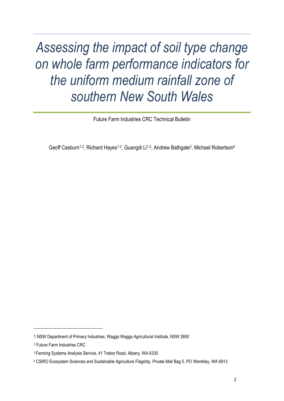*Assessing the impact of soil type change on whole farm performance indicators for the uniform medium rainfall zone of southern New South Wales*

Future Farm Industries CRC Technical Bulletin

Geoff Casburn<sup>1,2</sup>, Richard Hayes<sup>1,2</sup>, Guangdi Li<sup>1,2</sup>, Andrew Bathgate<sup>3</sup>, Michael Robertson<sup>4</sup>

l

<sup>1</sup> NSW Department of Primary Industries, Wagga Wagga Agricultural Institute, NSW 2650

<sup>2</sup> Future Farm Industries CRC

<sup>3</sup> Farming Systems Analysis Service, 41 Trebor Road, Albany, WA 6330

<sup>4</sup> CSIRO Ecosystem Sciences and Sustainable Agriculture Flagship, Private Mail Bag 5, PO Wembley, WA 6913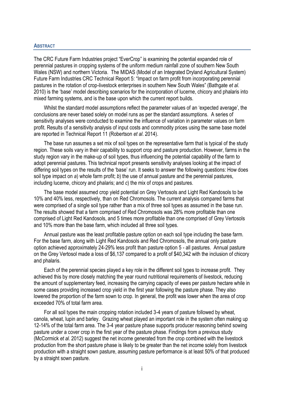#### <span id="page-3-0"></span>**ABSTRACT**

The CRC Future Farm Industries project "EverCrop" is examining the potential expanded role of perennial pastures in cropping systems of the uniform medium rainfall zone of southern New South Wales (NSW) and northern Victoria. The MIDAS (Model of an Integrated Dryland Agricultural System) Future Farm Industries CRC Technical Report 5: "Impact on farm profit from incorporating perennial pastures in the rotation of crop-livestock enterprises in southern New South Wales" (Bathgate *et al*. 2010) is the 'base' model describing scenarios for the incorporation of lucerne, chicory and phalaris into mixed farming systems, and is the base upon which the current report builds.

Whilst the standard model assumptions reflect the parameter values of an 'expected average', the conclusions are never based solely on model runs as per the standard assumptions. A series of sensitivity analyses were conducted to examine the influence of variation in parameter values on farm profit. Results of a sensitivity analysis of input costs and commodity prices using the same base model are reported in Technical Report 11 (Robertson *et al*. 2014).

The base run assumes a set mix of soil types on the representative farm that is typical of the study region. These soils vary in their capability to support crop and pasture production. However, farms in the study region vary in the make-up of soil types, thus influencing the potential capability of the farm to adopt perennial pastures. This technical report presents sensitivity analyses looking at the impact of differing soil types on the results of the 'base' run. It seeks to answer the following questions: How does soil type impact on *a*) whole farm profit; *b*) the use of annual pasture and the perennial pastures, including lucerne, chicory and phalaris; and *c*) the mix of crops and pastures.

The base model assumed crop yield potential on Grey Vertosols and Light Red Kandosols to be 10% and 40% less, respectively, than on Red Chromosols. The current analysis compared farms that were comprised of a single soil type rather than a mix of three soil types as assumed in the base run. The results showed that a farm comprised of Red Chromosols was 28% more profitable than one comprised of Light Red Kandosols, and 5 times more profitable than one comprised of Grey Vertosols and 10% more than the base farm, which included all three soil types.

Annual pasture was the least profitable pasture option on each soil type including the base farm. For the base farm, along with Light Red Kandosols and Red Chromosols, the annual only pasture option achieved approximately 24-29% less profit than pasture option 5 - all pastures. Annual pasture on the Grey Vertosol made a loss of \$6,137 compared to a profit of \$40,342 with the inclusion of chicory and phalaris.

Each of the perennial species played a key role in the different soil types to increase profit. They achieved this by more closely matching the year round nutritional requirements of livestock, reducing the amount of supplementary feed, increasing the carrying capacity of ewes per pasture hectare while in some cases providing increased crop yield in the first year following the pasture phase. They also lowered the proportion of the farm sown to crop. In general, the profit was lower when the area of crop exceeded 70% of total farm area.

For all soil types the main cropping rotation included 3-4 years of pasture followed by wheat, canola, wheat, lupin and barley. Grazing wheat played an important role in the system often making up 12-14% of the total farm area. The 3-4 year pasture phase supports producer reasoning behind sowing pasture under a cover crop in the first year of the pasture phase. Findings from a previous study (McCormick *et al*. 2012) suggest the net income generated from the crop combined with the livestock production from the short pasture phase is likely to be greater than the net income solely from livestock production with a straight sown pasture, assuming pasture performance is at least 50% of that produced by a straight sown pasture.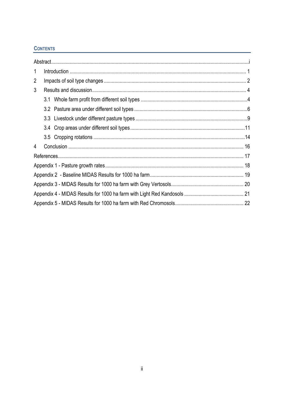### **CONTENTS**

| $\mathbf{1}$   |  |  |  |  |  |  |
|----------------|--|--|--|--|--|--|
| $\overline{2}$ |  |  |  |  |  |  |
| 3              |  |  |  |  |  |  |
|                |  |  |  |  |  |  |
|                |  |  |  |  |  |  |
|                |  |  |  |  |  |  |
|                |  |  |  |  |  |  |
|                |  |  |  |  |  |  |
| $\overline{4}$ |  |  |  |  |  |  |
|                |  |  |  |  |  |  |
|                |  |  |  |  |  |  |
|                |  |  |  |  |  |  |
|                |  |  |  |  |  |  |
|                |  |  |  |  |  |  |
|                |  |  |  |  |  |  |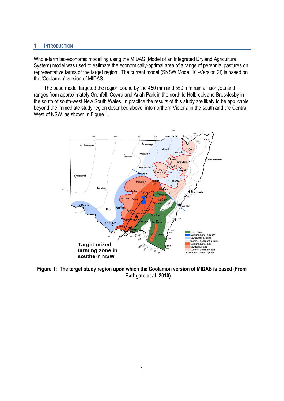#### <span id="page-5-0"></span>**1 INTRODUCTION**

Whole-farm bio-economic modelling using the MIDAS (Model of an Integrated Dryland Agricultural System) model was used to estimate the economically-optimal area of a range of perennial pastures on representative farms of the target region. The current model (SNSW Model 10 -Version 2t) is based on the 'Coolamon' version of MIDAS.

The base model targeted the region bound by the 450 mm and 550 mm rainfall isohyets and ranges from approximately Grenfell, Cowra and Ariah Park in the north to Holbrook and Brocklesby in the south of south-west New South Wales. In practice the results of this study are likely to be applicable beyond the immediate study region described above, into northern Victoria in the south and the Central West of NSW, as shown in Figure 1.



**Figure 1: 'The target study region upon which the Coolamon version of MIDAS is based (From Bathgate et al. 2010).**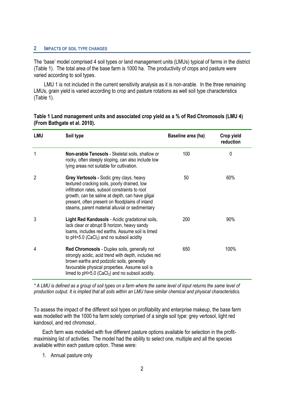#### <span id="page-6-0"></span>**2 IMPACTS OF SOIL TYPE CHANGES**

The 'base' model comprised 4 soil types or land management units (LMUs) typical of farms in the district (Table 1). The total area of the base farm is 1000 ha. The productivity of crops and pasture were varied according to soil types.

LMU 1 is not included in the current sensitivity analysis as it is non-arable. In the three remaining LMUs, grain yield is varied according to crop and pasture rotations as well soil type characteristics (Table 1).

| <b>LMU</b>     | Soil type                                                                                                                                                                                                                                                                                            | Baseline area (ha) | Crop yield<br>reduction |
|----------------|------------------------------------------------------------------------------------------------------------------------------------------------------------------------------------------------------------------------------------------------------------------------------------------------------|--------------------|-------------------------|
| $\mathbf{1}$   | Non-arable Tenosols - Skeletal soils, shallow or<br>rocky, often steeply sloping, can also include low<br>lying areas not suitable for cultivation.                                                                                                                                                  | 100                | 0                       |
| $\overline{2}$ | Grey Vertosols - Sodic grey clays, heavy<br>textured cracking soils, poorly drained, low<br>infiltration rates, subsoil constraints to root<br>growth, can be saline at depth, can have gilgai<br>present, often present on floodplains of inland<br>steams, parent material alluvial or sedimentary | 50                 | 60%                     |
| 3              | Light Red Kandosols - Acidic gradational soils,<br>lack clear or abrupt B horizon, heavy sandy<br>loams, includes red earths. Assume soil is limed<br>to $pH > 5.0$ (CaCl <sub>2</sub> ) and no subsoil acidity                                                                                      | 200                | 90%                     |
| 4              | Red Chromosols - Duplex soils, generally not<br>strongly acidic, acid trend with depth, includes red<br>brown earths and podzolic soils, generally<br>favourable physical properties. Assume soil is<br>limed to $pH > 5.0$ (CaCl <sub>2</sub> ) and no subsoil acidity.                             | 650                | 100%                    |

#### **Table 1 Land management units and associated crop yield as a % of Red Chromosols (LMU 4) (From Bathgate et al. 2010).**

*\* A LMU is defined as a group of soil types on a farm where the same level of input returns the same level of production output. It is implied that all soils within an LMU have similar chemical and physical characteristics.* 

To assess the impact of the different soil types on profitability and enterprise makeup, the base farm was modelled with the 1000 ha farm solely comprised of a single soil type: grey vertosol, light red kandosol, and red chromosol..

Each farm was modelled with five different pasture options available for selection in the profitmaximising list of activities. The model had the ability to select one, multiple and all the species available within each pasture option. These were:

1. Annual pasture only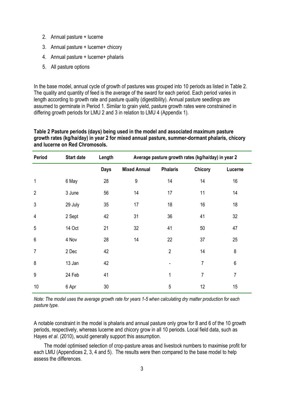- 2. Annual pasture + lucerne
- 3. Annual pasture + lucerne+ chicory
- 4. Annual pasture + lucerne+ phalaris
- 5. All pasture options

In the base model, annual cycle of growth of pastures was grouped into 10 periods as listed in Table 2. The quality and quantity of feed is the average of the sward for each period. Each period varies in length according to growth rate and pasture quality (digestibility). Annual pasture seedlings are assumed to germinate in Period 1. Similar to grain yield, pasture growth rates were constrained in differing growth periods for LMU 2 and 3 in relation to LMU 4 (Appendix 1).

#### **Table 2 Pasture periods (days) being used in the model and associated maximum pasture growth rates (kg/ha/day) in year 2 for mixed annual pasture, summer-dormant phalaris, chicory and lucerne on Red Chromosols.**

| Period         | <b>Start date</b> | Length      | Average pasture growth rates (kg/ha/day) in year 2 |                 |                |         |  |
|----------------|-------------------|-------------|----------------------------------------------------|-----------------|----------------|---------|--|
|                |                   | <b>Days</b> | <b>Mixed Annual</b>                                | <b>Phalaris</b> | <b>Chicory</b> | Lucerne |  |
| $\mathbf{1}$   | 6 May             | 28          | $9\,$                                              | 14              | 14             | 16      |  |
| $\overline{2}$ | 3 June            | 56          | 14                                                 | 17              | 11             | 14      |  |
| 3              | 29 July           | 35          | 17                                                 | 18              | 16             | 18      |  |
| 4              | 2 Sept            | 42          | 31                                                 | 36              | 41             | 32      |  |
| 5              | 14 Oct            | 21          | 32                                                 | 41              | 50             | 47      |  |
| $6\,$          | 4 Nov             | 28          | 14                                                 | 22              | 37             | 25      |  |
| $\overline{7}$ | 2 Dec             | 42          |                                                    | $\overline{2}$  | 14             | 8       |  |
| 8              | 13 Jan            | 42          |                                                    |                 | 7              | 6       |  |
| 9              | 24 Feb            | 41          |                                                    | 1               | $\overline{7}$ | 7       |  |
| 10             | 6 Apr             | 30          |                                                    | 5               | 12             | 15      |  |

*Note: The model uses the average growth rate for years 1-5 when calculating dry matter production for each pasture type.*

A notable constraint in the model is phalaris and annual pasture only grow for 8 and 6 of the 10 growth periods, respectively, whereas lucerne and chicory grow in all 10 periods. Local field data, such as Hayes *et al*. (2010), would generally support this assumption.

The model optimised selection of crop-pasture areas and livestock numbers to maximise profit for each LMU (Appendices 2, 3, 4 and 5). The results were then compared to the base model to help assess the differences.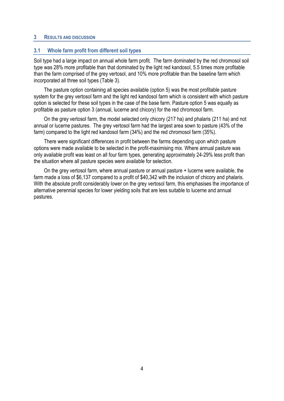#### <span id="page-8-0"></span>**3 RESULTS AND DISCUSSION**

#### <span id="page-8-1"></span>**3.1 Whole farm profit from different soil types**

Soil type had a large impact on annual whole farm profit. The farm dominated by the red chromosol soil type was 28% more profitable than that dominated by the light red kandosol, 5.5 times more profitable than the farm comprised of the grey vertosol, and 10% more profitable than the baseline farm which incorporated all three soil types (Table 3).

The pasture option containing all species available (option 5) was the most profitable pasture system for the grey vertosol farm and the light red kandosol farm which is consistent with which pasture option is selected for these soil types in the case of the base farm. Pasture option 5 was equally as profitable as pasture option 3 (annual, lucerne and chicory) for the red chromosol farm.

On the grey vertosol farm, the model selected only chicory (217 ha) and phalaris (211 ha) and not annual or lucerne pastures. The grey vertosol farm had the largest area sown to pasture (43% of the farm) compared to the light red kandosol farm (34%) and the red chromosol farm (35%).

There were significant differences in profit between the farms depending upon which pasture options were made available to be selected in the profit-maximising mix. Where annual pasture was only available profit was least on all four farm types, generating approximately 24-29% less profit than the situation where all pasture species were available for selection.

On the grey vertosol farm, where annual pasture or annual pasture + lucerne were available, the farm made a loss of \$6,137 compared to a profit of \$40,342 with the inclusion of chicory and phalaris. With the absolute profit considerably lower on the grey vertosol farm, this emphasises the importance of alternative perennial species for lower yielding soils that are less suitable to lucerne and annual pastures.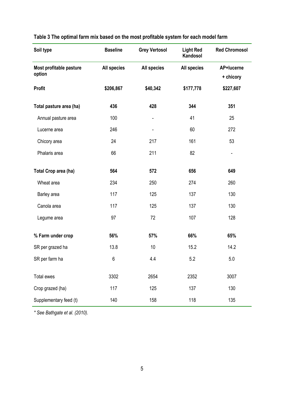| Soil type                         | <b>Baseline</b>    | <b>Grey Vertosol</b>     | <b>Light Red</b><br>Kandosol | <b>Red Chromosol</b>     |  |
|-----------------------------------|--------------------|--------------------------|------------------------------|--------------------------|--|
| Most profitable pasture<br>option | <b>All species</b> | <b>All species</b>       | <b>All species</b>           | AP+lucerne<br>+ chicory  |  |
| <b>Profit</b>                     | \$206,867          | \$40,342                 | \$177,778                    | \$227,607                |  |
| Total pasture area (ha)           | 436                | 428                      | 344                          | 351                      |  |
| Annual pasture area               | 100                | $\overline{\phantom{a}}$ | 41                           | 25                       |  |
| Lucerne area                      | 246                | $\overline{\phantom{0}}$ | 60                           | 272                      |  |
| Chicory area                      | 24                 | 217                      | 161                          | 53                       |  |
| Phalaris area                     | 66                 | 211                      | 82                           | $\overline{\phantom{a}}$ |  |
| <b>Total Crop area (ha)</b>       | 564                | 572                      | 656                          | 649                      |  |
| Wheat area                        | 234                | 250                      | 274                          | 260                      |  |
| Barley area                       | 117                | 125                      | 137                          | 130                      |  |
| Canola area                       | 117                | 125                      | 137                          | 130                      |  |
| Legume area                       | 97                 | 72                       | 107                          | 128                      |  |
| % Farm under crop                 | 56%                | 57%                      | 66%                          | 65%                      |  |
| SR per grazed ha                  | 13.8               | 10                       | 15.2                         | 14.2                     |  |
| SR per farm ha                    | 6                  | 4.4                      | 5.2                          | 5.0                      |  |
| Total ewes                        | 3302               | 2654                     | 2352                         | 3007                     |  |
| Crop grazed (ha)                  | 117                | 125                      | 137                          | 130                      |  |
| Supplementary feed (t)            | 140                | 158                      | 118                          | 135                      |  |

# **Table 3 The optimal farm mix based on the most profitable system for each model farm**

*\* See Bathgate et al. (2010).*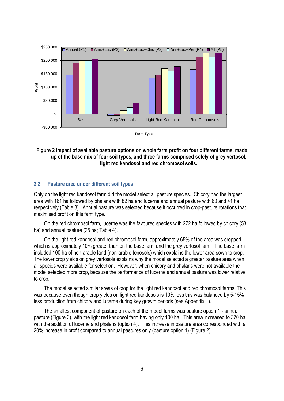

#### **Figure 2 Impact of available pasture options on whole farm profit on four different farms, made up of the base mix of four soil types, and three farms comprised solely of grey vertosol, light red kandosol and red chromosol soils.**

#### <span id="page-10-0"></span>**3.2 Pasture area under different soil types**

Only on the light red kandosol farm did the model select all pasture species. Chicory had the largest area with 161 ha followed by phalaris with 82 ha and lucerne and annual pasture with 60 and 41 ha, respectively (Table 3). Annual pasture was selected because it occurred in crop-pasture rotations that maximised profit on this farm type.

On the red chromosol farm, lucerne was the favoured species with 272 ha followed by chicory (53 ha) and annual pasture (25 ha; Table 4).

On the light red kandosol and red chromosol farm, approximately 65% of the area was cropped which is approximately 10% greater than on the base farm and the grey vertosol farm. The base farm included 100 ha of non-arable land (non**-**arable tenosols) which explains the lower area sown to crop. The lower crop yields on grey vertosols explains why the model selected a greater pasture area when all species were available for selection. However, when chicory and phalaris were not available the model selected more crop, because the performance of lucerne and annual pasture was lower relative to crop.

The model selected similar areas of crop for the light red kandosol and red chromosol farms. This was because even though crop yields on light red kandosols is 10% less this was balanced by 5-15% less production from chicory and lucerne during key growth periods (see Appendix 1).

The smallest component of pasture on each of the model farms was pasture option 1 - annual pasture (Figure 3), with the light red kandosol farm having only 100 ha. This area increased to 370 ha with the addition of lucerne and phalaris (option 4). This increase in pasture area corresponded with a 20% increase in profit compared to annual pastures only (pasture option 1) (Figure 2).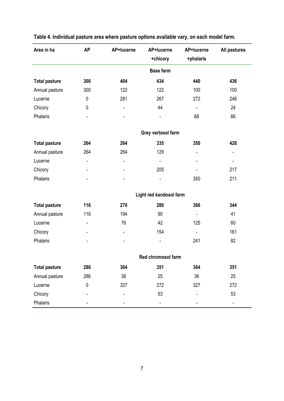| Area in ha           | <b>AP</b><br>AP+lucerne      |                              | AP+lucerne              | AP+lucerne               | All pastures             |  |
|----------------------|------------------------------|------------------------------|-------------------------|--------------------------|--------------------------|--|
|                      |                              |                              | +chicory                | +phalaris                |                          |  |
|                      |                              |                              | <b>Base farm</b>        |                          |                          |  |
| <b>Total pasture</b> | 300                          | 404                          | 434                     | 440                      | 436                      |  |
| Annual pasture       | 300                          | 122                          | 122                     | 100                      | 100                      |  |
| Lucerne              | $\pmb{0}$                    | 281                          | 267                     | 272                      | 246                      |  |
| Chicory              | $\pmb{0}$                    | $\qquad \qquad \blacksquare$ | 44                      | $\overline{\phantom{a}}$ | 24                       |  |
| Phalaris             | $\overline{\phantom{a}}$     | $\overline{\phantom{0}}$     |                         | 68                       | 66                       |  |
|                      |                              |                              | Grey vertosol farm      |                          |                          |  |
| <b>Total pasture</b> | 264                          | 264                          | 335                     | 350                      | 428                      |  |
| Annual pasture       | 264                          | 264                          | 129                     | $\overline{\phantom{0}}$ | $\blacksquare$           |  |
| Lucerne              | ٠                            | $\blacksquare$               | $\blacksquare$          | -                        | $\overline{\phantom{a}}$ |  |
| Chicory              | ٠                            | $\overline{\phantom{0}}$     | 205                     |                          | 217                      |  |
| Phalaris             |                              |                              |                         | 350                      | 211                      |  |
|                      |                              |                              | Light red kandosol farm |                          |                          |  |
| <b>Total pasture</b> | 116                          | 270                          | 286                     | 366                      | 344                      |  |
| Annual pasture       | 116                          | 194                          | 90                      | $\blacksquare$           | 41                       |  |
| Lucerne              | -                            | 76                           | 42                      | 125                      | 60                       |  |
| Chicory              | $\qquad \qquad \blacksquare$ | $\qquad \qquad \blacksquare$ | 154                     | $\overline{\phantom{a}}$ | 161                      |  |
| Phalaris             | ۰                            | $\qquad \qquad \blacksquare$ | $\overline{a}$          | 241                      | 82                       |  |
|                      |                              |                              | Red chromosol farm      |                          |                          |  |
| <b>Total pasture</b> | 286                          | 364                          | 351                     | 364                      | 351                      |  |
| Annual pasture       | 286                          | 36                           | 25                      | 36                       | 25                       |  |
| Lucerne              | $\pmb{0}$                    | 327                          | 272                     | 327                      | 272                      |  |
| Chicory              |                              |                              | 53                      |                          | 53                       |  |
| Phalaris             |                              |                              |                         |                          |                          |  |

# **Table 4. Individual pasture area where pasture options available vary, on each model farm.**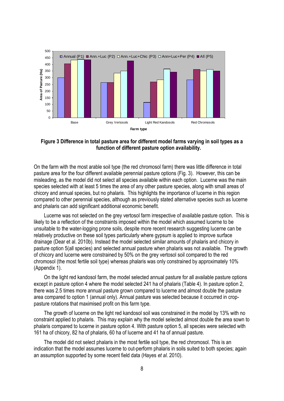

**Figure 3 Difference in total pasture area for different model farms varying in soil types as a function of different pasture option availability.**

On the farm with the most arable soil type (the red chromosol farm) there was little difference in total pasture area for the four different available perennial pasture options (Fig. 3). However, this can be misleading, as the model did not select all species available within each option. Lucerne was the main species selected with at least 5 times the area of any other pasture species, along with small areas of chicory and annual species, but no phalaris. This highlights the importance of lucerne in this region compared to other perennial species, although as previously stated alternative species such as lucerne and phalaris can add significant additional economic benefit.

Lucerne was not selected on the grey vertosol farm irrespective of available pasture option. This is likely to be a reflection of the constraints imposed within the model which assumed lucerne to be unsuitable to the water-logging prone soils, despite more recent research suggesting lucerne can be relatively productive on these soil types particularly where gypsum is applied to improve surface drainage (Dear et al. 2010b). Instead the model selected similar amounts of phalaris and chicory in pasture option 5(all species) and selected annual pasture when phalaris was not available. The growth of chicory and lucerne were constrained by 50% on the grey vertosol soil compared to the red chromosol (the most fertile soil type) whereas phalaris was only constrained by approximately 10% (Appendix 1).

On the light red kandosol farm, the model selected annual pasture for all available pasture options except in pasture option 4 where the model selected 241 ha of phalaris (Table 4). In pasture option 2, there was 2.5 times more annual pasture grown compared to lucerne and almost double the pasture area compared to option 1 (annual only). Annual pasture was selected because it occurred in croppasture rotations that maximised profit on this farm type.

The growth of lucerne on the light red kandosol soil was constrained in the model by 13% with no constraint applied to phalaris. This may explain why the model selected almost double the area sown to phalaris compared to lucerne in pasture option 4. With pasture option 5, all species were selected with 161 ha of chicory, 82 ha of phalaris, 60 ha of lucerne and 41 ha of annual pasture.

The model did not select phalaris in the most fertile soil type, the red chromosol. This is an indication that the model assumes lucerne to out-perform phalaris in soils suited to both species; again an assumption supported by some recent field data (Hayes *et al*. 2010).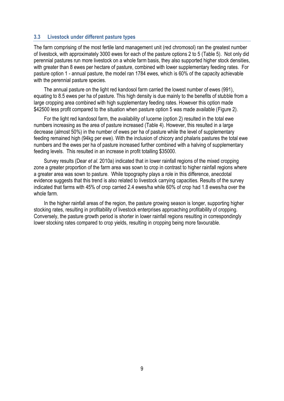#### <span id="page-13-0"></span>**3.3 Livestock under different pasture types**

The farm comprising of the most fertile land management unit (red chromosol) ran the greatest number of livestock, with approximately 3000 ewes for each of the pasture options 2 to 5 (Table 5). Not only did perennial pastures run more livestock on a whole farm basis, they also supported higher stock densities, with greater than 8 ewes per hectare of pasture, combined with lower supplementary feeding rates. For pasture option 1 - annual pasture, the model ran 1784 ewes, which is 60% of the capacity achievable with the perennial pasture species.

The annual pasture on the light red kandosol farm carried the lowest number of ewes (991), equating to 8.5 ewes per ha of pasture. This high density is due mainly to the benefits of stubble from a large cropping area combined with high supplementary feeding rates. However this option made \$42500 less profit compared to the situation when pasture option 5 was made available (Figure 2).

For the light red kandosol farm, the availability of lucerne (option 2) resulted in the total ewe numbers increasing as the area of pasture increased (Table 4). However, this resulted in a large decrease (almost 50%) in the number of ewes per ha of pasture while the level of supplementary feeding remained high (94kg per ewe). With the inclusion of chicory and phalaris pastures the total ewe numbers and the ewes per ha of pasture increased further combined with a halving of supplementary feeding levels. This resulted in an increase in profit totalling \$35000.

Survey results (Dear *et al*. 2010a) indicated that in lower rainfall regions of the mixed cropping zone a greater proportion of the farm area was sown to crop in contrast to higher rainfall regions where a greater area was sown to pasture. While topography plays a role in this difference, anecdotal evidence suggests that this trend is also related to livestock carrying capacities. Results of the survey indicated that farms with 45% of crop carried 2.4 ewes/ha while 60% of crop had 1.8 ewes/ha over the whole farm.

In the higher rainfall areas of the region, the pasture growing season is longer, supporting higher stocking rates, resulting in profitability of livestock enterprises approaching profitability of cropping. Conversely, the pasture growth period is shorter in lower rainfall regions resulting in correspondingly lower stocking rates compared to crop yields, resulting in cropping being more favourable.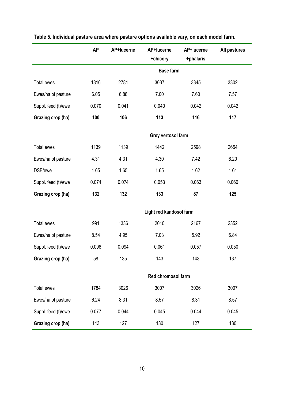|                     | <b>AP</b> | AP+lucerne | AP+lucerne<br>+chicory  | AP+lucerne<br>+phalaris | All pastures |
|---------------------|-----------|------------|-------------------------|-------------------------|--------------|
|                     |           |            | <b>Base farm</b>        |                         |              |
| Total ewes          | 1816      | 2781       | 3037                    | 3345                    | 3302         |
| Ewes/ha of pasture  | 6.05      | 6.88       | 7.00                    | 7.60                    | 7.57         |
| Suppl. feed (t)/ewe | 0.070     | 0.041      | 0.040                   | 0.042                   | 0.042        |
| Grazing crop (ha)   | 100       | 106        | 113                     | 116                     | 117          |
|                     |           |            | Grey vertosol farm      |                         |              |
| Total ewes          | 1139      | 1139       | 1442                    | 2598                    | 2654         |
| Ewes/ha of pasture  | 4.31      | 4.31       | 4.30                    | 7.42                    | 6.20         |
| DSE/ewe             | 1.65      | 1.65       | 1.65                    | 1.62                    | 1.61         |
| Suppl. feed (t)/ewe | 0.074     | 0.074      | 0.053                   | 0.063                   | 0.060        |
| Grazing crop (ha)   | 132       | 132        | 133                     | 87                      | 125          |
|                     |           |            | Light red kandosol farm |                         |              |
| Total ewes          | 991       | 1336       | 2010                    | 2167                    | 2352         |
| Ewes/ha of pasture  | 8.54      | 4.95       | 7.03                    | 5.92                    | 6.84         |
| Suppl. feed (t)/ewe | 0.096     | 0.094      | 0.061                   | 0.057                   | 0.050        |
| Grazing crop (ha)   | 58        | 135        | 143                     | 143                     | 137          |
|                     |           |            | Red chromosol farm      |                         |              |
| Total ewes          | 1784      | 3026       | 3007                    | 3026                    | 3007         |
| Ewes/ha of pasture  | 6.24      | 8.31       | 8.57                    | 8.31                    | 8.57         |
| Suppl. feed (t)/ewe | 0.077     | 0.044      | 0.045                   | 0.044                   | 0.045        |
| Grazing crop (ha)   | 143       | 127        | 130                     | 127                     | 130          |

|  |  |  |  |  | Table 5. Individual pasture area where pasture options available vary, on each model farm. |
|--|--|--|--|--|--------------------------------------------------------------------------------------------|
|--|--|--|--|--|--------------------------------------------------------------------------------------------|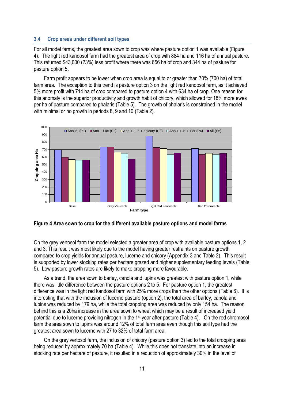#### <span id="page-15-0"></span>**3.4 Crop areas under different soil types**

For all model farms, the greatest area sown to crop was where pasture option 1 was available (Figure 4). The light red kandosol farm had the greatest area of crop with 884 ha and 116 ha of annual pasture. This returned \$43,000 (23%) less profit where there was 656 ha of crop and 344 ha of pasture for pasture option 5.

Farm profit appears to be lower when crop area is equal to or greater than 70% (700 ha) of total farm area. The exception to this trend is pasture option 3 on the light red kandosol farm, as it achieved 5% more profit with 714 ha of crop compared to pasture option 4 with 634 ha of crop. One reason for this anomaly is the superior productivity and growth habit of chicory, which allowed for 18% more ewes per ha of pasture compared to phalaris (Table 5). The growth of phalaris is constrained in the model with minimal or no growth in periods 8, 9 and 10 (Table 2).



#### **Figure 4 Area sown to crop for the different available pasture options and model farms**

On the grey vertosol farm the model selected a greater area of crop with available pasture options 1, 2 and 3. This result was most likely due to the model having greater restraints on pasture growth compared to crop yields for annual pasture, lucerne and chicory (Appendix 3 and Table 2). This result is supported by lower stocking rates per hectare grazed and higher supplementary feeding levels (Table 5). Low pasture growth rates are likely to make cropping more favourable.

As a trend, the area sown to barley, canola and lupins was greatest with pasture option 1, while there was little difference between the pasture options 2 to 5. For pasture option 1, the greatest difference was in the light red kandosol farm with 25% more crops than the other options (Table 6). It is interesting that with the inclusion of lucerne pasture (option 2), the total area of barley, canola and lupins was reduced by 179 ha, while the total cropping area was reduced by only 154 ha. The reason behind this is a 20ha increase in the area sown to wheat which may be a result of increased yield potential due to lucerne providing nitrogen in the 1<sup>st</sup> year after pasture (Table 4). On the red chromosol farm the area sown to lupins was around 12% of total farm area even though this soil type had the greatest area sown to lucerne with 27 to 32% of total farm area.

On the grey vertosol farm, the inclusion of chicory (pasture option 3) led to the total cropping area being reduced by approximately 70 ha (Table 4). While this does not translate into an increase in stocking rate per hectare of pasture, it resulted in a reduction of approximately 30% in the level of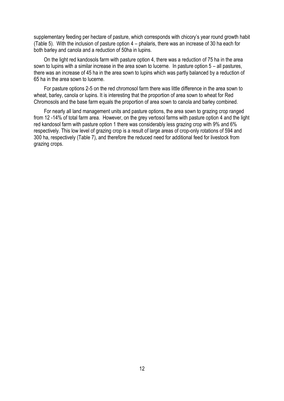supplementary feeding per hectare of pasture, which corresponds with chicory's year round growth habit (Table 5). With the inclusion of pasture option 4 – phalaris, there was an increase of 30 ha each for both barley and canola and a reduction of 50ha in lupins.

On the light red kandosols farm with pasture option 4, there was a reduction of 75 ha in the area sown to lupins with a similar increase in the area sown to lucerne. In pasture option 5 – all pastures, there was an increase of 45 ha in the area sown to lupins which was partly balanced by a reduction of 65 ha in the area sown to lucerne.

For pasture options 2-5 on the red chromosol farm there was little difference in the area sown to wheat, barley, canola or lupins. It is interesting that the proportion of area sown to wheat for Red Chromosols and the base farm equals the proportion of area sown to canola and barley combined.

For nearly all land management units and pasture options, the area sown to grazing crop ranged from 12 -14% of total farm area. However, on the grey vertosol farms with pasture option 4 and the light red kandosol farm with pasture option 1 there was considerably less grazing crop with 9% and 6% respectively. This low level of grazing crop is a result of large areas of crop-only rotations of 594 and 300 ha, respectively (Table 7), and therefore the reduced need for additional feed for livestock from grazing crops.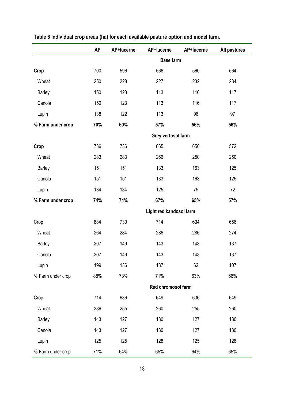|                   | <b>AP</b> | AP+lucerne | AP+lucerne              | AP+lucerne | All pastures |
|-------------------|-----------|------------|-------------------------|------------|--------------|
|                   |           |            | <b>Base farm</b>        |            |              |
| Crop              | 700       | 596        | 566                     | 560        | 564          |
| Wheat             | 250       | 228        | 227                     | 232        | 234          |
| Barley            | 150       | 123        | 113                     | 116        | 117          |
| Canola            | 150       | 123        | 113                     | 116        | 117          |
| Lupin             | 138       | 122        | 113                     | 96         | 97           |
| % Farm under crop | 70%       | 60%        | 57%                     | 56%        | 56%          |
|                   |           |            | Grey vertosol farm      |            |              |
| Crop              | 736       | 736        | 665                     | 650        | 572          |
| Wheat             | 283       | 283        | 266                     | 250        | 250          |
| <b>Barley</b>     | 151       | 151        | 133                     | 163        | 125          |
| Canola            | 151       | 151        | 133                     | 163        | 125          |
| Lupin             | 134       | 134        | 125                     | 75         | 72           |
| % Farm under crop | 74%       | 74%        | 67%                     | 65%        | 57%          |
|                   |           |            | Light red kandosol farm |            |              |
| Crop              | 884       | 730        | 714                     | 634        | 656          |
| Wheat             | 264       | 284        | 286                     | 286        | 274          |
| Barley            | 207       | 149        | 143                     | 143        | 137          |
| Canola            | 207       | 149        | 143                     | 143        | 137          |
| Lupin             | 199       | 136        | 137                     | 62         | 107          |
| % Farm under crop | 88%       | 73%        | 71%                     | 63%        | 66%          |
|                   |           |            | Red chromosol farm      |            |              |
| Crop              | 714       | 636        | 649                     | 636        | 649          |
| Wheat             | 286       | 255        | 260                     | 255        | 260          |
| <b>Barley</b>     | 143       | 127        | 130                     | 127        | 130          |
| Canola            | 143       | 127        | 130                     | 127        | 130          |
| Lupin             | 125       | 125        | 128                     | 125        | 128          |
| % Farm under crop | 71%       | 64%        | 65%                     | 64%        | 65%          |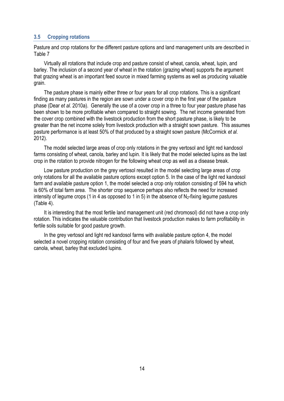#### <span id="page-18-0"></span>**3.5 Cropping rotations**

Pasture and crop rotations for the different pasture options and land management units are described in Table 7

Virtually all rotations that include crop and pasture consist of wheat, canola, wheat, lupin, and barley. The inclusion of a second year of wheat in the rotation (grazing wheat) supports the argument that grazing wheat is an important feed source in mixed farming systems as well as producing valuable grain.

The pasture phase is mainly either three or four years for all crop rotations. This is a significant finding as many pastures in the region are sown under a cover crop in the first year of the pasture phase (Dear *et al*. 2010a). Generally the use of a cover crop in a three to four year pasture phase has been shown to be more profitable when compared to straight sowing. The net income generated from the cover crop combined with the livestock production from the short pasture phase, is likely to be greater than the net income solely from livestock production with a straight sown pasture. This assumes pasture performance is at least 50% of that produced by a straight sown pasture (McCormick *et al*. 2012).

The model selected large areas of crop only rotations in the grey vertosol and light red kandosol farms consisting of wheat, canola, barley and lupin. It is likely that the model selected lupins as the last crop in the rotation to provide nitrogen for the following wheat crop as well as a disease break.

Low pasture production on the grey vertosol resulted in the model selecting large areas of crop only rotations for all the available pasture options except option 5. In the case of the light red kandosol farm and available pasture option 1, the model selected a crop only rotation consisting of 594 ha which is 60% of total farm area. The shorter crop sequence perhaps also reflects the need for increased intensity of legume crops (1 in 4 as opposed to 1 in 5) in the absence of  $N_2$ -fixing legume pastures (Table 4).

It is interesting that the most fertile land management unit (red chromosol) did not have a crop only rotation. This indicates the valuable contribution that livestock production makes to farm profitability in fertile soils suitable for good pasture growth.

In the grey vertosol and light red kandosol farms with available pasture option 4, the model selected a novel cropping rotation consisting of four and five years of phalaris followed by wheat, canola, wheat, barley that excluded lupins.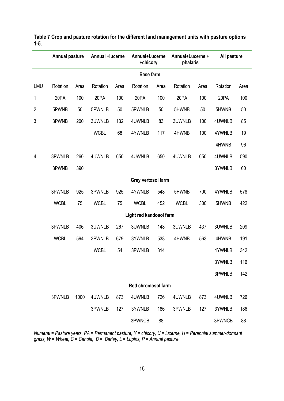|                | <b>Annual pasture</b> |      | Annual +lucerne |      | Annual+Lucerne<br>+chicory |                  | Annual+Lucerne +<br>phalaris |      | All pasture |      |
|----------------|-----------------------|------|-----------------|------|----------------------------|------------------|------------------------------|------|-------------|------|
|                |                       |      |                 |      |                            | <b>Base farm</b> |                              |      |             |      |
| LMU            | Rotation              | Area | Rotation        | Area | Rotation                   | Area             | Rotation                     | Area | Rotation    | Area |
| 1              | 20PA                  | 100  | 20PA            | 100  | 20PA                       | 100              | 20PA                         | 100  | 20PA        | 100  |
| $\overline{2}$ | 5PWNB                 | 50   | 5PWNLB          | 50   | 5PWNLB                     | 50               | 5HWNB                        | 50   | 5HWNB       | 50   |
| 3              | 3PWNB                 | 200  | 3UWNLB          | 132  | 4UWNLB                     | 83               | 3UWNLB                       | 100  | 4UWNLB      | 85   |
|                |                       |      | <b>WCBL</b>     | 68   | 4YWNLB                     | 117              | 4HWNB                        | 100  | 4YWNLB      | 19   |
|                |                       |      |                 |      |                            |                  |                              |      | 4HWNB       | 96   |
| 4              | 3PWNLB                | 260  | 4UWNLB          | 650  | 4UWNLB                     | 650              | 4UWNLB                       | 650  | 4UWNLB      | 590  |
|                | 3PWNB                 | 390  |                 |      |                            |                  |                              |      | 3YWNLB      | 60   |
|                |                       |      |                 |      | Grey vertosol farm         |                  |                              |      |             |      |
|                | 3PWNLB                | 925  | 3PWNLB          | 925  | 4YWNLB                     | 548              | 5HWNB                        | 700  | 4YWNLB      | 578  |
|                | <b>WCBL</b>           | 75   | <b>WCBL</b>     | 75   | <b>WCBL</b>                | 452              | <b>WCBL</b>                  | 300  | 5HWNB       | 422  |
|                |                       |      |                 |      | Light red kandosol farm    |                  |                              |      |             |      |
|                | 3PWNLB                | 406  | 3UWNLB          | 267  | 3UWNLB                     | 148              | 3UWNLB                       | 437  | 3UWNLB      | 209  |
|                | <b>WCBL</b>           | 594  | 3PWNLB          | 679  | 3YWNLB                     | 538              | 4HWNB                        | 563  | 4HWNB       | 191  |
|                |                       |      | <b>WCBL</b>     | 54   | 3PWNLB                     | 314              |                              |      | 4YWNLB      | 342  |
|                |                       |      |                 |      |                            |                  |                              |      | 3YWNLB      | 116  |
|                |                       |      |                 |      |                            |                  |                              |      | 3PWNLB      | 142  |
|                |                       |      |                 |      | <b>Red chromosol farm</b>  |                  |                              |      |             |      |
|                | 3PWNLB                | 1000 | 4UWNLB          | 873  | 4UWNLB                     | 726              | 4UWNLB                       | 873  | 4UWNLB      | 726  |
|                |                       |      | 3PWNLB          | 127  | 3YWNLB                     | 186              | 3PWNLB                       | 127  | 3YWNLB      | 186  |
|                |                       |      |                 |      | 3PWNCB                     | 88               |                              |      | 3PWNCB      | 88   |

**Table 7 Crop and pasture rotation for the different land management units with pasture options 1-5.**

*Numeral = Pasture years, PA = Permanent pasture, Y = chicory, U = lucerne, H = Perennial summer-dormant*  grass, W = Wheat, C = Canola, B = Barley, L = Lupins, P = Annual pasture.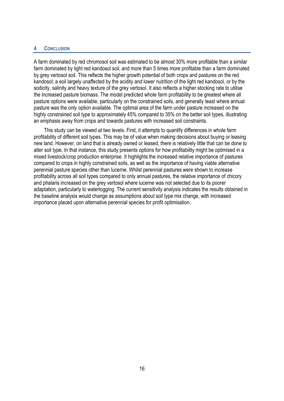#### <span id="page-20-0"></span>**4 CONCLUSION**

A farm dominated by red chromosol soil was estimated to be almost 30% more profitable than a similar farm dominated by light red kandosol soil, and more than 5 times more profitable than a farm dominated by grey vertosol soil. This reflects the higher growth potential of both crops and pastures on the red kandosol; a soil largely unaffected by the acidity and lower nutrition of the light red kandosol, or by the sodicity, salinity and heavy texture of the grey vertosol. It also reflects a higher stocking rate to utilise the increased pasture biomass. The model predicted whole farm profitability to be greatest where all pasture options were available, particularly on the constrained soils, and generally least where annual pasture was the only option available. The optimal area of the farm under pasture increased on the highly constrained soil type to approximately 45% compared to 35% on the better soil types, illustrating an emphasis away from crops and towards pastures with increased soil constraints.

This study can be viewed at two levels. First, it attempts to quantify differences in whole farm profitability of different soil types. This may be of value when making decisions about buying or leasing new land. However, on land that is already owned or leased, there is relatively little that can be done to alter soil type. In that instance, this study presents options for how profitability might be optimised in a mixed livestock/crop production enterprise. It highlights the increased relative importance of pastures compared to crops in highly constrained soils, as well as the importance of having viable alternative perennial pasture species other than lucerne. Whilst perennial pastures were shown to increase profitability across all soil types compared to only annual pastures, the relative importance of chicory and phalaris increased on the grey vertosol where lucerne was not selected due to its poorer adaptation, particularly to waterlogging. The current sensitivity analysis indicates the results obtained in the baseline analysis would change as assumptions about soil type mix change, with increased importance placed upon alternative perennial species for profit optimisation.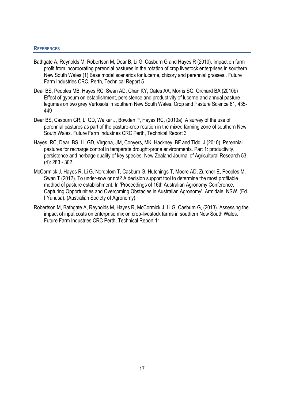#### <span id="page-21-0"></span>**REFERENCES**

- Bathgate A, Reynolds M, Robertson M, Dear B, Li G, Casburn G and Hayes R (2010). Impact on farm profit from incorporating perennial pastures in the rotation of crop livestock enterprises in southern New South Wales (1) Base model scenarios for lucerne, chicory and perennial grasses.. Future Farm Industries CRC, Perth, Technical Report 5
- Dear BS, Peoples MB, Hayes RC, Swan AD, Chan KY, Oates AA, Morris SG, Orchard BA (2010b) Effect of gypsum on establishment, persistence and productivity of lucerne and annual pasture legumes on two grey Vertosols in southern New South Wales. Crop and Pasture Science 61, 435- 449
- Dear BS, Casburn GR, Li GD, Walker J, Bowden P, Hayes RC, (2010a). A survey of the use of perennial pastures as part of the pasture-crop rotation in the mixed farming zone of southern New South Wales. Future Farm Industries CRC Perth, Technical Report 3
- Hayes, RC, Dear, BS, Li, GD, Virgona, JM, Conyers, MK, Hackney, BF and Tidd, J (2010). Perennial pastures for recharge control in temperate drought-prone environments. Part 1: productivity, persistence and herbage quality of key species. New Zealand Journal of Agricultural Research 53 (4): 283 - 302.
- McCormick J, Hayes R, Li G, Nordblom T, Casburn G, Hutchings T, Moore AD, Zurcher E, Peoples M, Swan T (2012). To under-sow or not? A decision support tool to determine the most profitable method of pasture establishment. In 'Proceedings of 16th Australian Agronomy Conference, Capturing Opportunities and Overcoming Obstacles in Australian Agronomy'. Armidale, NSW. (Ed. I Yunusa). (Australian Society of Agronomy).
- Robertson M, Bathgate A, Reynolds M, Hayes R, McCormick J, Li G, Casburn G, (2013). Assessing the impact of input costs on enterprise mix on crop-livestock farms in southern New South Wales. Future Farm Industries CRC Perth, Technical Report 11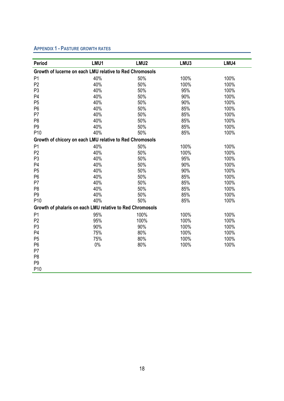#### <span id="page-22-0"></span>**APPENDIX 1 - PASTURE GROWTH RATES**

| Period                                                    | LMU1  | LMU <sub>2</sub> | LMU3 | LMU4 |
|-----------------------------------------------------------|-------|------------------|------|------|
| Growth of lucerne on each LMU relative to Red Chromosols  |       |                  |      |      |
| P <sub>1</sub>                                            | 40%   | 50%              | 100% | 100% |
| P <sub>2</sub>                                            | 40%   | 50%              | 100% | 100% |
| P <sub>3</sub>                                            | 40%   | 50%              | 95%  | 100% |
| P <sub>4</sub>                                            | 40%   | 50%              | 90%  | 100% |
| P <sub>5</sub>                                            | 40%   | 50%              | 90%  | 100% |
| P <sub>6</sub>                                            | 40%   | 50%              | 85%  | 100% |
| P <sub>7</sub>                                            | 40%   | 50%              | 85%  | 100% |
| P <sub>8</sub>                                            | 40%   | 50%              | 85%  | 100% |
| P <sub>9</sub>                                            | 40%   | 50%              | 85%  | 100% |
| P <sub>10</sub>                                           | 40%   | 50%              | 85%  | 100% |
| Growth of chicory on each LMU relative to Red Chromosols  |       |                  |      |      |
| P <sub>1</sub>                                            | 40%   | 50%              | 100% | 100% |
| P <sub>2</sub>                                            | 40%   | 50%              | 100% | 100% |
| P <sub>3</sub>                                            | 40%   | 50%              | 95%  | 100% |
| P <sub>4</sub>                                            | 40%   | 50%              | 90%  | 100% |
| P <sub>5</sub>                                            | 40%   | 50%              | 90%  | 100% |
| P <sub>6</sub>                                            | 40%   | 50%              | 85%  | 100% |
| P7                                                        | 40%   | 50%              | 85%  | 100% |
| P <sub>8</sub>                                            | 40%   | 50%              | 85%  | 100% |
| P <sub>9</sub>                                            | 40%   | 50%              | 85%  | 100% |
| P <sub>10</sub>                                           | 40%   | 50%              | 85%  | 100% |
| Growth of phalaris on each LMU relative to Red Chromosols |       |                  |      |      |
| P <sub>1</sub>                                            | 95%   | 100%             | 100% | 100% |
| P <sub>2</sub>                                            | 95%   | 100%             | 100% | 100% |
| P <sub>3</sub>                                            | 90%   | 90%              | 100% | 100% |
| P <sub>4</sub>                                            | 75%   | 80%              | 100% | 100% |
| P <sub>5</sub>                                            | 75%   | 80%              | 100% | 100% |
| P <sub>6</sub>                                            | $0\%$ | 80%              | 100% | 100% |
| P <sub>7</sub>                                            |       |                  |      |      |
| P <sub>8</sub>                                            |       |                  |      |      |
| P <sub>9</sub>                                            |       |                  |      |      |
| P10                                                       |       |                  |      |      |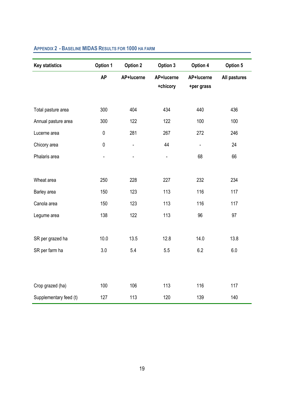| <b>Key statistics</b>  | Option 1       | <b>Option 2</b>              | Option 3               | Option 4                 | Option 5     |
|------------------------|----------------|------------------------------|------------------------|--------------------------|--------------|
|                        | <b>AP</b>      | AP+lucerne                   | AP+lucerne<br>+chicory | AP+lucerne<br>+per grass | All pastures |
| Total pasture area     | 300            | 404                          | 434                    | 440                      | 436          |
| Annual pasture area    | 300            | 122                          | 122                    | 100                      | 100          |
| Lucerne area           | $\pmb{0}$      | 281                          | 267                    | 272                      | 246          |
| Chicory area           | $\pmb{0}$      | $\qquad \qquad \blacksquare$ | 44                     | $\blacksquare$           | 24           |
| Phalaris area          | $\blacksquare$ | ÷,                           | $\blacksquare$         | 68                       | 66           |
|                        |                |                              |                        |                          |              |
| Wheat area             | 250            | 228                          | 227                    | 232                      | 234          |
| Barley area            | 150            | 123                          | 113                    | 116                      | 117          |
| Canola area            | 150            | 123                          | 113                    | 116                      | 117          |
| Legume area            | 138            | 122                          | 113                    | 96                       | 97           |
|                        |                |                              |                        |                          |              |
| SR per grazed ha       | 10.0           | 13.5                         | 12.8                   | 14.0                     | 13.8         |
| SR per farm ha         | 3.0            | 5.4                          | 5.5                    | 6.2                      | 6.0          |
|                        |                |                              |                        |                          |              |
|                        |                |                              |                        |                          |              |
| Crop grazed (ha)       | 100            | 106                          | 113                    | 116                      | 117          |
| Supplementary feed (t) | 127            | 113                          | 120                    | 139                      | 140          |

# <span id="page-23-0"></span>**APPENDIX 2 - BASELINE MIDAS RESULTS FOR 1000 HA FARM**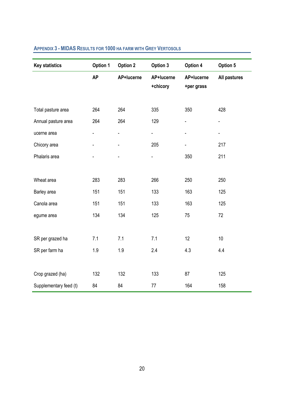| <b>Key statistics</b>  | Option 1       | <b>Option 2</b> | Option 3       | Option 4   | Option 5     |
|------------------------|----------------|-----------------|----------------|------------|--------------|
|                        | <b>AP</b>      | AP+lucerne      | AP+lucerne     | AP+lucerne | All pastures |
|                        |                |                 | +chicory       | +per grass |              |
|                        |                |                 |                |            |              |
| Total pasture area     | 264            | 264             | 335            | 350        | 428          |
| Annual pasture area    | 264            | 264             | 129            |            |              |
| ucerne area            | $\overline{a}$ | ÷,              | $\blacksquare$ |            | ÷,           |
| Chicory area           | $\blacksquare$ |                 | 205            |            | 217          |
| Phalaris area          |                |                 | ÷,             | 350        | 211          |
|                        |                |                 |                |            |              |
| Wheat area             | 283            | 283             | 266            | 250        | 250          |
| Barley area            | 151            | 151             | 133            | 163        | 125          |
| Canola area            | 151            | 151             | 133            | 163        | 125          |
| egume area             | 134            | 134             | 125            | 75         | 72           |
|                        |                |                 |                |            |              |
| SR per grazed ha       | 7.1            | 7.1             | 7.1            | 12         | 10           |
| SR per farm ha         | 1.9            | 1.9             | 2.4            | 4.3        | 4.4          |
|                        |                |                 |                |            |              |
| Crop grazed (ha)       | 132            | 132             | 133            | 87         | 125          |
| Supplementary feed (t) | 84             | 84              | 77             | 164        | 158          |

# <span id="page-24-0"></span>**APPENDIX 3 - MIDAS RESULTS FOR 1000 HA FARM WITH GREY VERTOSOLS**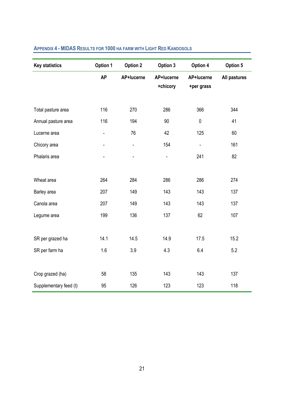| <b>Key statistics</b>  | Option 1                     | Option 2                     | Option 3               | Option 4                 | Option 5     |
|------------------------|------------------------------|------------------------------|------------------------|--------------------------|--------------|
|                        | <b>AP</b>                    | AP+lucerne                   | AP+lucerne<br>+chicory | AP+lucerne<br>+per grass | All pastures |
| Total pasture area     | 116                          | 270                          | 286                    | 366                      | 344          |
| Annual pasture area    | 116                          | 194                          | 90                     | $\pmb{0}$                | 41           |
| Lucerne area           | $\qquad \qquad \blacksquare$ | 76                           | 42                     | 125                      | 60           |
| Chicory area           | $\qquad \qquad \blacksquare$ | $\qquad \qquad \blacksquare$ | 154                    | $\blacksquare$           | 161          |
| Phalaris area          |                              |                              | $\blacksquare$         | 241                      | 82           |
|                        |                              |                              |                        |                          |              |
| Wheat area             | 264                          | 284                          | 286                    | 286                      | 274          |
| Barley area            | 207                          | 149                          | 143                    | 143                      | 137          |
| Canola area            | 207                          | 149                          | 143                    | 143                      | 137          |
| Legume area            | 199                          | 136                          | 137                    | 62                       | 107          |
|                        |                              |                              |                        |                          |              |
| SR per grazed ha       | 14.1                         | 14.5                         | 14.9                   | 17.5                     | 15.2         |
| SR per farm ha         | 1.6                          | 3.9                          | 4.3                    | 6.4                      | 5.2          |
|                        |                              |                              |                        |                          |              |
| Crop grazed (ha)       | 58                           | 135                          | 143                    | 143                      | 137          |
| Supplementary feed (t) | 95                           | 126                          | 123                    | 123                      | 118          |

# <span id="page-25-0"></span>**APPENDIX 4 - MIDAS RESULTS FOR 1000 HA FARM WITH LIGHT RED KANDOSOLS**